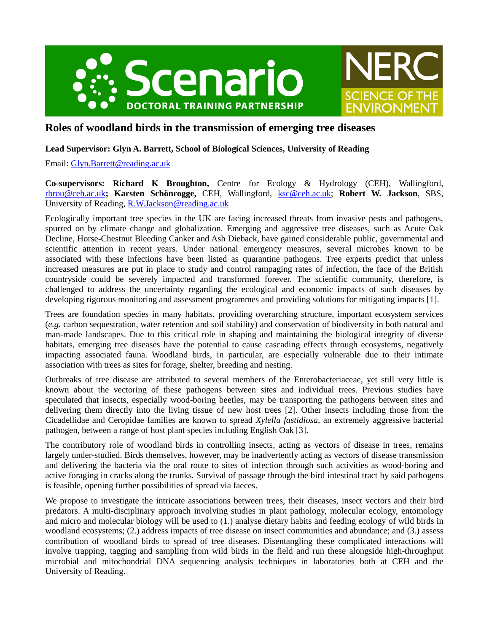



# **Roles of woodland birds in the transmission of emerging tree diseases**

# **Lead Supervisor: Glyn A. Barrett, School of Biological Sciences, University of Reading**

Email: [Glyn.Barrett@reading.ac.uk](mailto:Glyn.Barrett@reading.ac.uk)

**Co-supervisors: Richard K Broughton,** Centre for Ecology & Hydrology (CEH), Wallingford, [rbrou@ceh.ac.uk](mailto:rbrou@ceh.ac.uk)**; Karsten Schönrogge,** CEH, Wallingford, [ksc@ceh.ac.uk;](mailto:ksc@ceh.ac.uk) **Robert W. Jackson**, SBS, University of Reading, [R.W.Jackson@reading.ac.uk](mailto:R.W.Jackson@reading.ac.uk)

Ecologically important tree species in the UK are facing increased threats from invasive pests and pathogens, spurred on by climate change and globalization. Emerging and aggressive tree diseases, such as Acute Oak Decline, Horse-Chestnut Bleeding Canker and Ash Dieback, have gained considerable public, governmental and scientific attention in recent years. Under national emergency measures, several microbes known to be associated with these infections have been listed as quarantine pathogens. Tree experts predict that unless increased measures are put in place to study and control rampaging rates of infection, the face of the British countryside could be severely impacted and transformed forever. The scientific community, therefore, is challenged to address the uncertainty regarding the ecological and economic impacts of such diseases by developing rigorous monitoring and assessment programmes and providing solutions for mitigating impacts [1].

Trees are foundation species in many habitats, providing overarching structure, important ecosystem services (*e.g.* carbon sequestration, water retention and soil stability) and conservation of biodiversity in both natural and man-made landscapes. Due to this critical role in shaping and maintaining the biological integrity of diverse habitats, emerging tree diseases have the potential to cause cascading effects through ecosystems, negatively impacting associated fauna. Woodland birds, in particular, are especially vulnerable due to their intimate association with trees as sites for forage, shelter, breeding and nesting.

Outbreaks of tree disease are attributed to several members of the Enterobacteriaceae, yet still very little is known about the vectoring of these pathogens between sites and individual trees. Previous studies have speculated that insects, especially wood-boring beetles, may be transporting the pathogens between sites and delivering them directly into the living tissue of new host trees [2]. Other insects including those from the Cicadellidae and Ceropidae families are known to spread *Xylella fastidiosa*, an extremely aggressive bacterial pathogen, between a range of host plant species including English Oak [3].

The contributory role of woodland birds in controlling insects, acting as vectors of disease in trees, remains largely under-studied. Birds themselves, however, may be inadvertently acting as vectors of disease transmission and delivering the bacteria via the oral route to sites of infection through such activities as wood-boring and active foraging in cracks along the trunks. Survival of passage through the bird intestinal tract by said pathogens is feasible, opening further possibilities of spread via faeces.

We propose to investigate the intricate associations between trees, their diseases, insect vectors and their bird predators. A multi-disciplinary approach involving studies in plant pathology, molecular ecology, entomology and micro and molecular biology will be used to (1.) analyse dietary habits and feeding ecology of wild birds in woodland ecosystems; (2.) address impacts of tree disease on insect communities and abundance; and (3.) assess contribution of woodland birds to spread of tree diseases. Disentangling these complicated interactions will involve trapping, tagging and sampling from wild birds in the field and run these alongside high-throughput microbial and mitochondrial DNA sequencing analysis techniques in laboratories both at CEH and the University of Reading.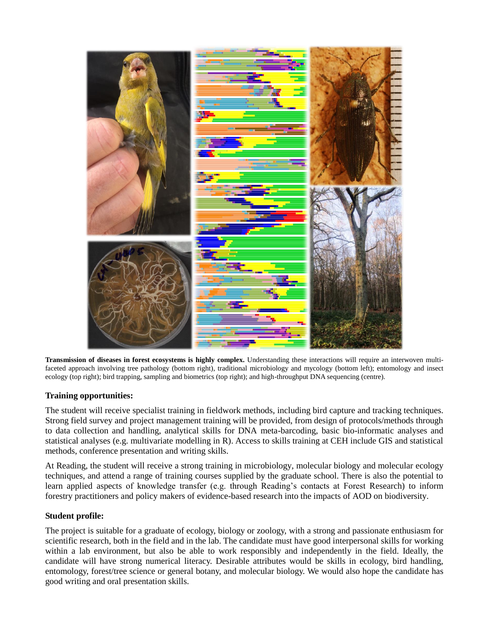

**Transmission of diseases in forest ecosystems is highly complex.** Understanding these interactions will require an interwoven multifaceted approach involving tree pathology (bottom right), traditional microbiology and mycology (bottom left); entomology and insect ecology (top right); bird trapping, sampling and biometrics (top right); and high-throughput DNA sequencing (centre).

## **Training opportunities:**

The student will receive specialist training in fieldwork methods, including bird capture and tracking techniques. Strong field survey and project management training will be provided, from design of protocols/methods through to data collection and handling, analytical skills for DNA meta-barcoding, basic bio-informatic analyses and statistical analyses (e.g. multivariate modelling in R). Access to skills training at CEH include GIS and statistical methods, conference presentation and writing skills.

At Reading, the student will receive a strong training in microbiology, molecular biology and molecular ecology techniques, and attend a range of training courses supplied by the graduate school. There is also the potential to learn applied aspects of knowledge transfer (e.g. through Reading's contacts at Forest Research) to inform forestry practitioners and policy makers of evidence-based research into the impacts of AOD on biodiversity.

### **Student profile:**

The project is suitable for a graduate of ecology, biology or zoology, with a strong and passionate enthusiasm for scientific research, both in the field and in the lab. The candidate must have good interpersonal skills for working within a lab environment, but also be able to work responsibly and independently in the field. Ideally, the candidate will have strong numerical literacy. Desirable attributes would be skills in ecology, bird handling, entomology, forest/tree science or general botany, and molecular biology. We would also hope the candidate has good writing and oral presentation skills.